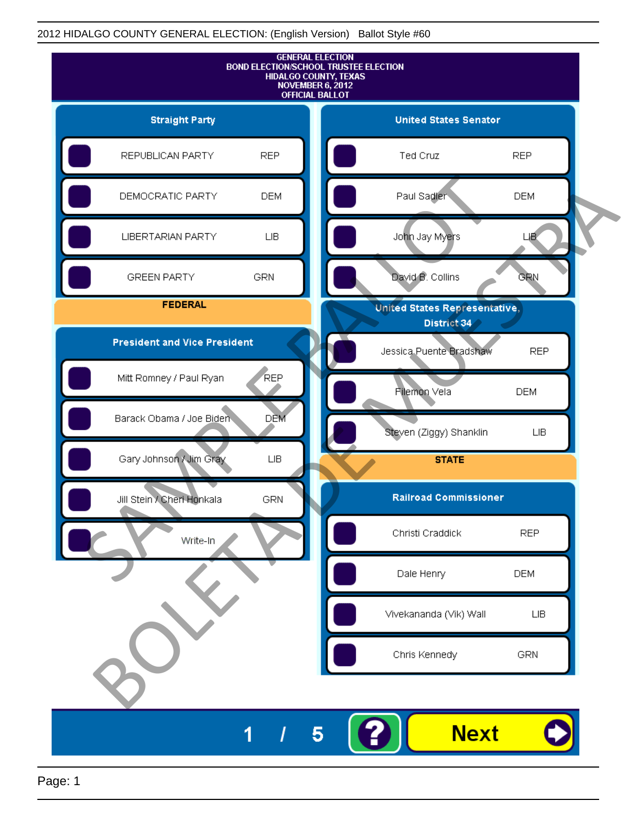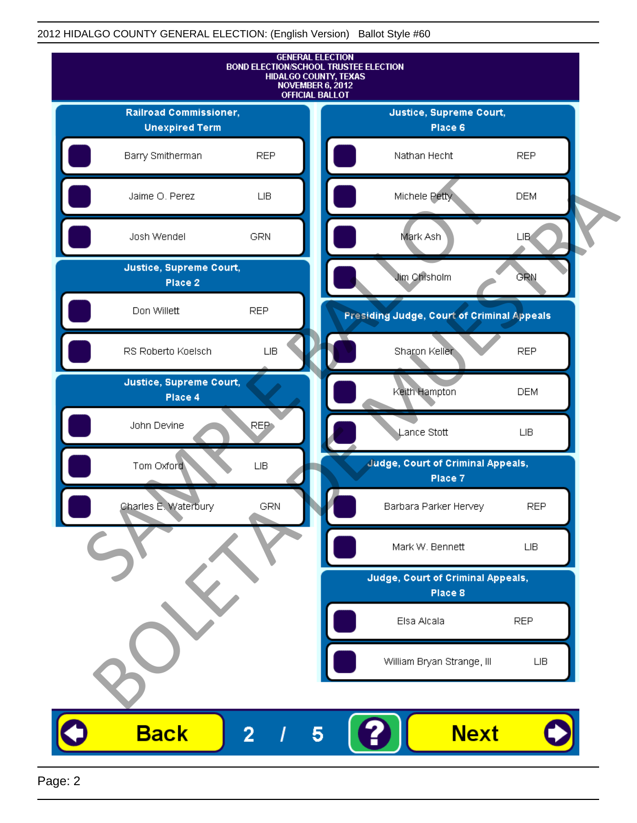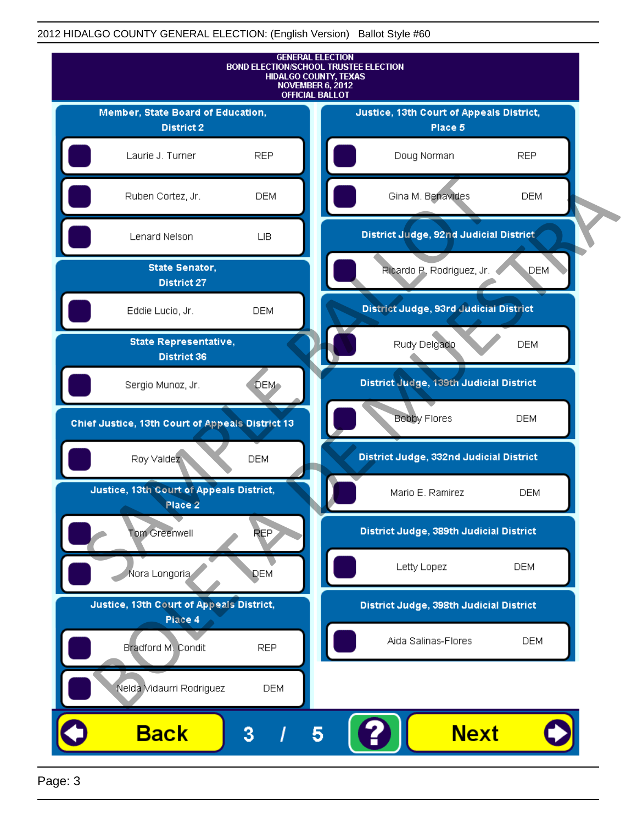

Page: 3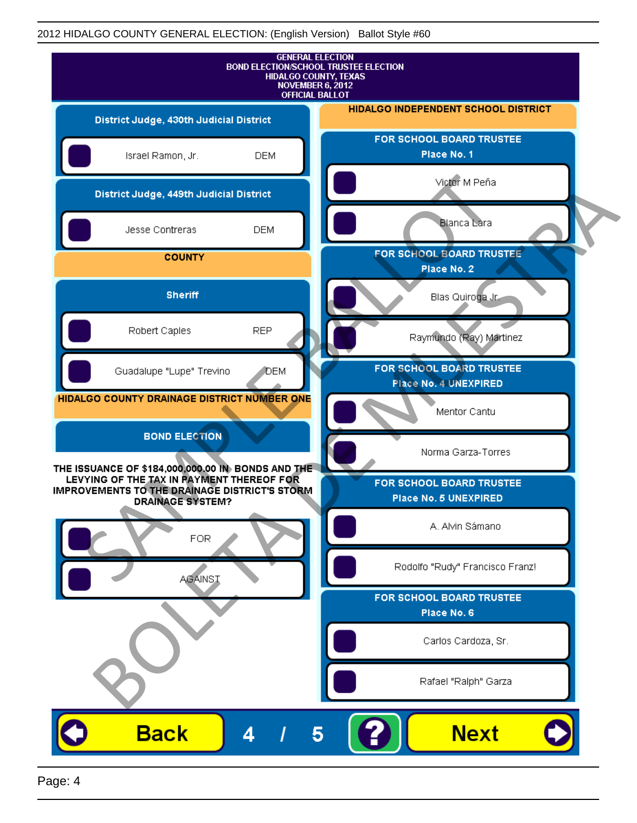|                                                                                                                              | <b>GENERAL ELECTION</b><br><b>BOND ELECTION/SCHOOL TRUSTEE ELECTION</b><br>HIDALGO COUNTY, TEXAS<br><b>NOVEMBER 6, 2012</b><br><b>OFFICIAL BALLOT</b> |
|------------------------------------------------------------------------------------------------------------------------------|-------------------------------------------------------------------------------------------------------------------------------------------------------|
| District Judge, 430th Judicial District                                                                                      | <b>HIDALGO INDEPENDENT SCHOOL DISTRICT</b>                                                                                                            |
| Israel Ramon, Jr.                                                                                                            | FOR SCHOOL BOARD TRUSTEE<br>Place No. 1<br><b>DEM</b>                                                                                                 |
| District Judge, 449th Judicial District                                                                                      | Victor M Peña                                                                                                                                         |
| Jesse Contreras                                                                                                              | <b>Blanca Lara</b><br><b>DEM</b>                                                                                                                      |
| <b>COUNTY</b>                                                                                                                | FOR SCHOOL BOARD TRUSTEE<br>Place No. 2                                                                                                               |
| <b>Sheriff</b>                                                                                                               | Blas Quiroga Jr.                                                                                                                                      |
| Robert Caples                                                                                                                | <b>REP</b><br>Raymundo (Ray) Martinez                                                                                                                 |
| Guadalupe "Lupe" Trevino                                                                                                     | FOR SCHOOL BOARD TRUSTEE<br><b>DEM</b><br>Place No. 4 UNEXPIRED                                                                                       |
| HIDALGO COUNTY DRAINAGE DISTRICT NUMBER ONE                                                                                  | Mentor Cantu                                                                                                                                          |
| <b>BOND ELECTION</b><br>THE ISSUANCE OF \$184,000,000.00 IN BONDS AND THE                                                    | Norma Garza-Torres                                                                                                                                    |
| LEVYING OF THE TAX IN PAYMENT THEREOF FOR<br><b>IMPROVEMENTS TO THE DRAINAGE DISTRICT'S STORM</b><br><b>DRAINAGE SYSTEM?</b> | FOR SCHOOL BOARD TRUSTEE<br>Place No. 5 UNEXPIRED                                                                                                     |
| <b>FOR</b>                                                                                                                   | A. Alvin Sámano                                                                                                                                       |
| <b>AGAINST</b>                                                                                                               | Rodolfo "Rudy" Francisco Franz!                                                                                                                       |
|                                                                                                                              | FOR SCHOOL BOARD TRUSTEE<br>Place No. 6                                                                                                               |
|                                                                                                                              | Carlos Cardoza, Sr.                                                                                                                                   |
|                                                                                                                              | Rafael "Ralph" Garza                                                                                                                                  |
| <b>Back</b><br>4                                                                                                             | <b>Next</b><br>5                                                                                                                                      |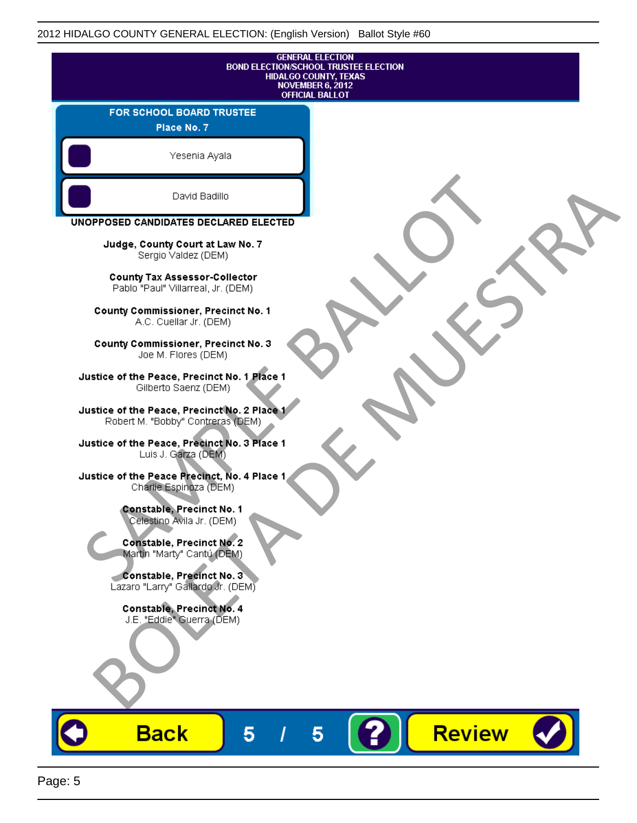| <b>GENERAL ELECTION</b><br><b>BOND ELECTION/SCHOOL TRUSTEE ELECTION</b><br>HIDALGO COUNTY, TEXAS<br><b>NOVEMBER 6, 2012</b><br><b>OFFICIAL BALLOT</b> |                    |
|-------------------------------------------------------------------------------------------------------------------------------------------------------|--------------------|
| FOR SCHOOL BOARD TRUSTEE<br>Place No. 7                                                                                                               |                    |
| Yesenia Ayala                                                                                                                                         |                    |
| David Badillo                                                                                                                                         |                    |
| UNOPPOSED CANDIDATES DECLARED ELECTED                                                                                                                 |                    |
| Judge, County Court at Law No. 7<br>Sergio Valdez (DEM)                                                                                               |                    |
| County Tax Assessor-Collector<br>Pablo "Paul" Villarreal, Jr. (DEM)                                                                                   |                    |
| County Commissioner, Precinct No. 1<br>A.C. Cuellar Jr. (DEM)                                                                                         |                    |
| <b>County Commissioner, Precinct No. 3</b><br>Joe M. Flores (DEM)                                                                                     |                    |
| Justice of the Peace, Precinct No. 1 Place 1<br>Gilberto Saenz (DEM)                                                                                  |                    |
| Justice of the Peace, Precinct No. 2 Place 1<br>Robert M. "Bobby" Contreras (DEM)                                                                     |                    |
| Justice of the Peace, Precinct No. 3 Place 1<br>Luis J. Garza (DEM)                                                                                   |                    |
| Justice of the Peace Precinct, No. 4 Place 1<br>Charlie Espinoza (DEM)                                                                                |                    |
| <b>Constable, Precinct No. 1</b><br>Celestino Avila Jr. (DEM)                                                                                         |                    |
| <b>Constable, Precinct No. 2</b><br>Martin "Marty" Cantú (DEM)                                                                                        |                    |
| Constable, Precinct No. 3<br>Lazaro "Larry" Gallardo Jr. (DEM)                                                                                        |                    |
| Constable, Precinct No. 4<br>J.E. "Eddie" Guerra (DEM)                                                                                                |                    |
|                                                                                                                                                       |                    |
|                                                                                                                                                       |                    |
| <b>Back</b><br>5                                                                                                                                      | <b>Review</b><br>5 |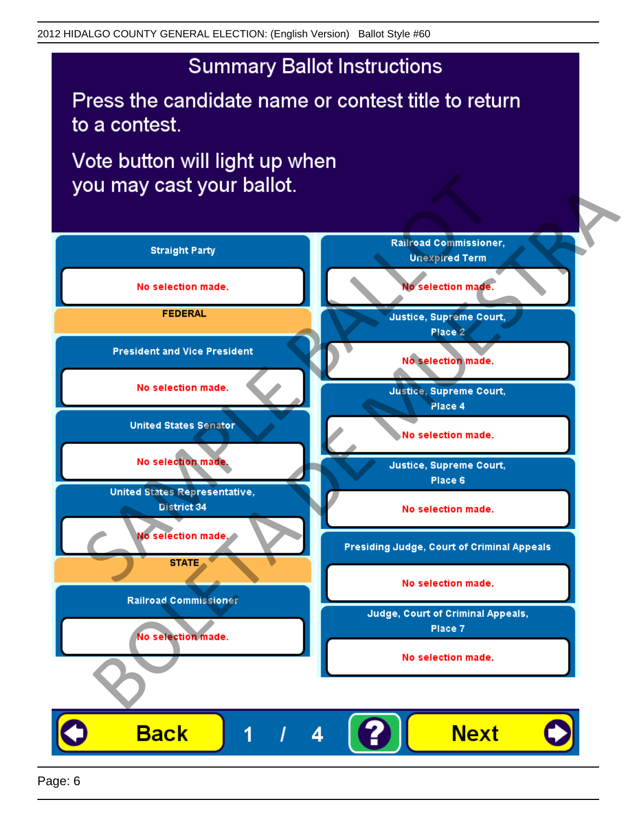Press the candidate name or contest title to return to a contest.

Vote button will light up when

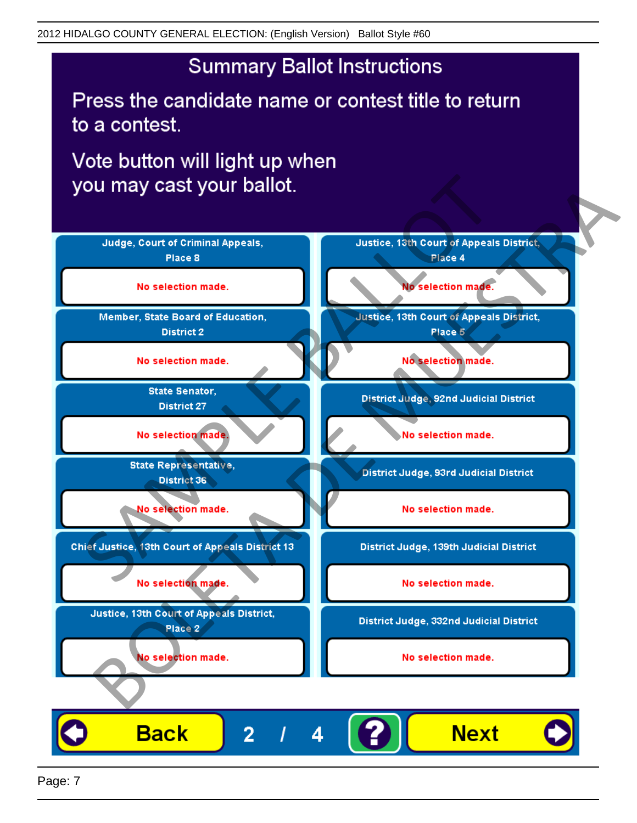Press the candidate name or contest title to return to a contest.

Vote button will light up when



Page: 7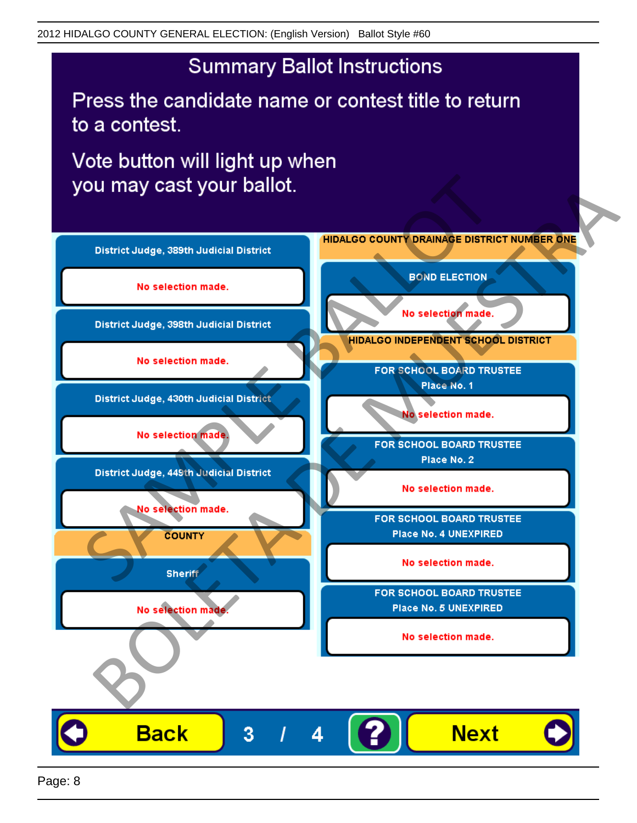Press the candidate name or contest title to return to a contest.

Vote button will light up when